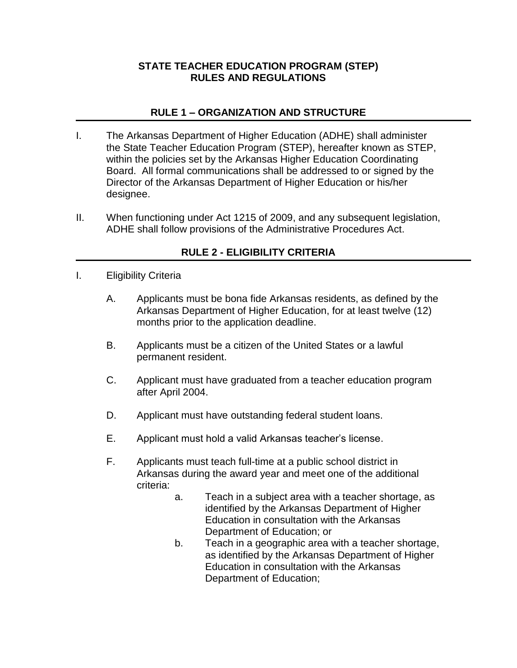## **STATE TEACHER EDUCATION PROGRAM (STEP) RULES AND REGULATIONS**

# **RULE 1 – ORGANIZATION AND STRUCTURE**

- I. The Arkansas Department of Higher Education (ADHE) shall administer the State Teacher Education Program (STEP), hereafter known as STEP, within the policies set by the Arkansas Higher Education Coordinating Board. All formal communications shall be addressed to or signed by the Director of the Arkansas Department of Higher Education or his/her designee.
- II. When functioning under Act 1215 of 2009, and any subsequent legislation, ADHE shall follow provisions of the Administrative Procedures Act.

# **RULE 2 - ELIGIBILITY CRITERIA**

- I. Eligibility Criteria
	- A. Applicants must be bona fide Arkansas residents, as defined by the Arkansas Department of Higher Education, for at least twelve (12) months prior to the application deadline.
	- B. Applicants must be a citizen of the United States or a lawful permanent resident.
	- C. Applicant must have graduated from a teacher education program after April 2004.
	- D. Applicant must have outstanding federal student loans.
	- E. Applicant must hold a valid Arkansas teacher's license.
	- F. Applicants must teach full-time at a public school district in Arkansas during the award year and meet one of the additional criteria:
		- a. Teach in a subject area with a teacher shortage, as identified by the Arkansas Department of Higher Education in consultation with the Arkansas Department of Education; or
		- b. Teach in a geographic area with a teacher shortage, as identified by the Arkansas Department of Higher Education in consultation with the Arkansas Department of Education;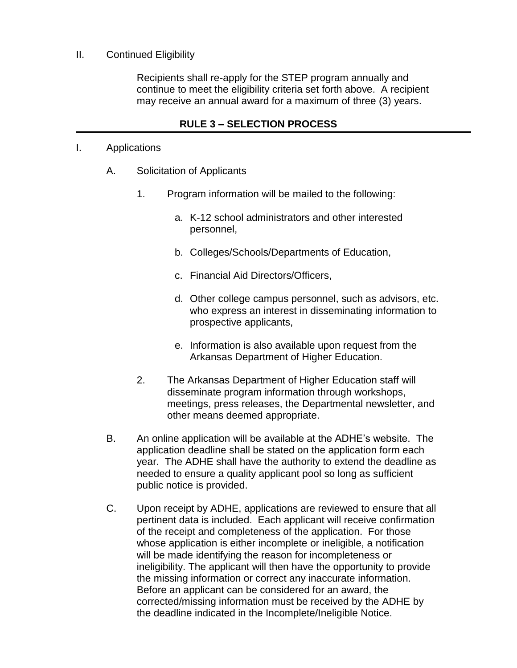#### II. Continued Eligibility

Recipients shall re-apply for the STEP program annually and continue to meet the eligibility criteria set forth above. A recipient may receive an annual award for a maximum of three (3) years.

### **RULE 3 – SELECTION PROCESS**

#### I. Applications

- A. Solicitation of Applicants
	- 1. Program information will be mailed to the following:
		- a. K-12 school administrators and other interested personnel,
		- b. Colleges/Schools/Departments of Education,
		- c. Financial Aid Directors/Officers,
		- d. Other college campus personnel, such as advisors, etc. who express an interest in disseminating information to prospective applicants,
		- e. Information is also available upon request from the Arkansas Department of Higher Education.
	- 2. The Arkansas Department of Higher Education staff will disseminate program information through workshops, meetings, press releases, the Departmental newsletter, and other means deemed appropriate.
- B. An online application will be available at the ADHE's website. The application deadline shall be stated on the application form each year. The ADHE shall have the authority to extend the deadline as needed to ensure a quality applicant pool so long as sufficient public notice is provided.
- C. Upon receipt by ADHE, applications are reviewed to ensure that all pertinent data is included. Each applicant will receive confirmation of the receipt and completeness of the application. For those whose application is either incomplete or ineligible, a notification will be made identifying the reason for incompleteness or ineligibility. The applicant will then have the opportunity to provide the missing information or correct any inaccurate information. Before an applicant can be considered for an award, the corrected/missing information must be received by the ADHE by the deadline indicated in the Incomplete/Ineligible Notice.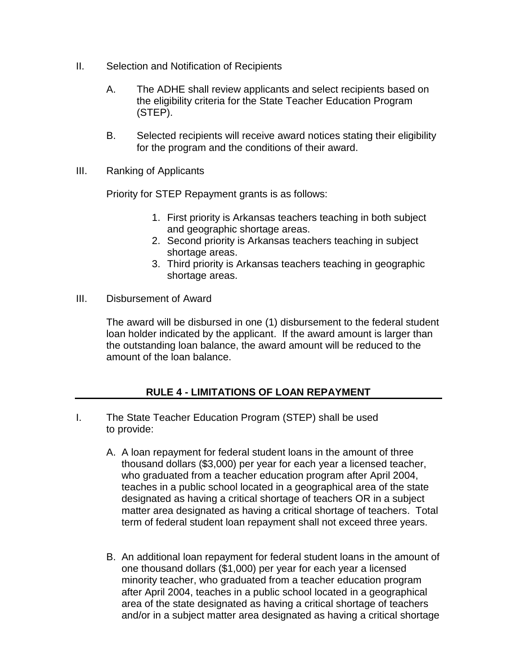- II. Selection and Notification of Recipients
	- A. The ADHE shall review applicants and select recipients based on the eligibility criteria for the State Teacher Education Program (STEP).
	- B. Selected recipients will receive award notices stating their eligibility for the program and the conditions of their award.
- III. Ranking of Applicants

Priority for STEP Repayment grants is as follows:

- 1. First priority is Arkansas teachers teaching in both subject and geographic shortage areas.
- 2. Second priority is Arkansas teachers teaching in subject shortage areas.
- 3. Third priority is Arkansas teachers teaching in geographic shortage areas.
- III. Disbursement of Award

The award will be disbursed in one (1) disbursement to the federal student loan holder indicated by the applicant. If the award amount is larger than the outstanding loan balance, the award amount will be reduced to the amount of the loan balance.

# **RULE 4 - LIMITATIONS OF LOAN REPAYMENT**

- I. The State Teacher Education Program (STEP) shall be used to provide:
	- A. A loan repayment for federal student loans in the amount of three thousand dollars (\$3,000) per year for each year a licensed teacher, who graduated from a teacher education program after April 2004, teaches in a public school located in a geographical area of the state designated as having a critical shortage of teachers OR in a subject matter area designated as having a critical shortage of teachers. Total term of federal student loan repayment shall not exceed three years.
	- B. An additional loan repayment for federal student loans in the amount of one thousand dollars (\$1,000) per year for each year a licensed minority teacher, who graduated from a teacher education program after April 2004, teaches in a public school located in a geographical area of the state designated as having a critical shortage of teachers and/or in a subject matter area designated as having a critical shortage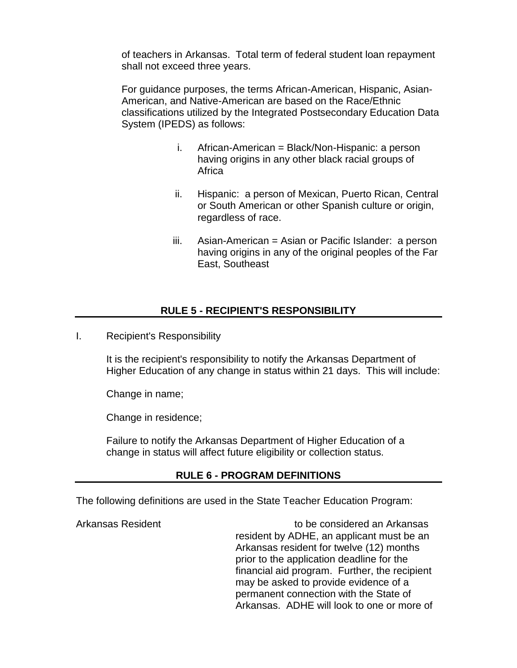of teachers in Arkansas. Total term of federal student loan repayment shall not exceed three years.

For guidance purposes, the terms African-American, Hispanic, Asian-American, and Native-American are based on the Race/Ethnic classifications utilized by the Integrated Postsecondary Education Data System (IPEDS) as follows:

- i. African-American = Black/Non-Hispanic: a person having origins in any other black racial groups of Africa
- ii. Hispanic: a person of Mexican, Puerto Rican, Central or South American or other Spanish culture or origin, regardless of race.
- iii. Asian-American = Asian or Pacific Islander: a person having origins in any of the original peoples of the Far East, Southeast

## **RULE 5 - RECIPIENT'S RESPONSIBILITY**

I. Recipient's Responsibility

It is the recipient's responsibility to notify the Arkansas Department of Higher Education of any change in status within 21 days. This will include:

Change in name;

Change in residence;

Failure to notify the Arkansas Department of Higher Education of a change in status will affect future eligibility or collection status.

#### **RULE 6 - PROGRAM DEFINITIONS**

The following definitions are used in the State Teacher Education Program:

Arkansas Resident to be considered an Arkansas resident by ADHE, an applicant must be an Arkansas resident for twelve (12) months prior to the application deadline for the financial aid program. Further, the recipient may be asked to provide evidence of a permanent connection with the State of Arkansas. ADHE will look to one or more of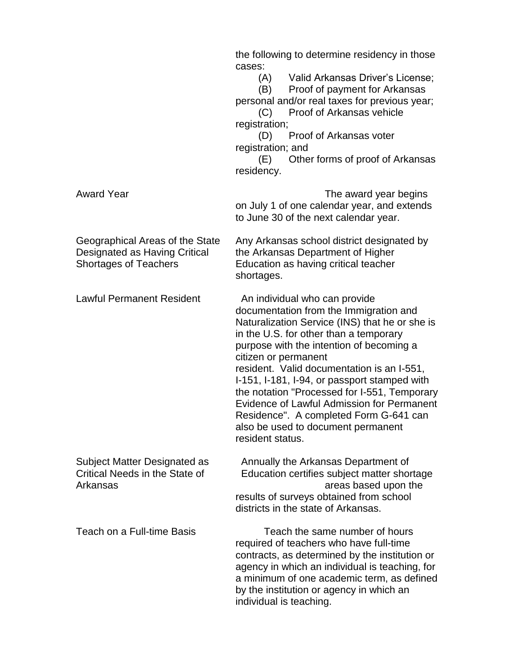|                                                                                                  | the following to determine residency in those<br>cases:<br>(A) Valid Arkansas Driver's License;<br>Proof of payment for Arkansas<br>(B)<br>personal and/or real taxes for previous year;<br>Proof of Arkansas vehicle<br>(C)<br>registration;<br>Proof of Arkansas voter<br>(D)<br>registration; and<br>Other forms of proof of Arkansas<br>(E)<br>residency.                                                                                                                                                                           |
|--------------------------------------------------------------------------------------------------|-----------------------------------------------------------------------------------------------------------------------------------------------------------------------------------------------------------------------------------------------------------------------------------------------------------------------------------------------------------------------------------------------------------------------------------------------------------------------------------------------------------------------------------------|
| <b>Award Year</b>                                                                                | The award year begins<br>on July 1 of one calendar year, and extends<br>to June 30 of the next calendar year.                                                                                                                                                                                                                                                                                                                                                                                                                           |
| Geographical Areas of the State<br>Designated as Having Critical<br><b>Shortages of Teachers</b> | Any Arkansas school district designated by<br>the Arkansas Department of Higher<br>Education as having critical teacher<br>shortages.                                                                                                                                                                                                                                                                                                                                                                                                   |
| <b>Lawful Permanent Resident</b>                                                                 | An individual who can provide<br>documentation from the Immigration and<br>Naturalization Service (INS) that he or she is<br>in the U.S. for other than a temporary<br>purpose with the intention of becoming a<br>citizen or permanent<br>resident. Valid documentation is an I-551,<br>I-151, I-181, I-94, or passport stamped with<br>the notation "Processed for I-551, Temporary<br>Evidence of Lawful Admission for Permanent<br>Residence". A completed Form G-641 can<br>also be used to document permanent<br>resident status. |
| Subject Matter Designated as<br>Critical Needs in the State of<br>Arkansas                       | Annually the Arkansas Department of<br>Education certifies subject matter shortage<br>areas based upon the<br>results of surveys obtained from school<br>districts in the state of Arkansas.                                                                                                                                                                                                                                                                                                                                            |
| Teach on a Full-time Basis                                                                       | Teach the same number of hours<br>required of teachers who have full-time<br>contracts, as determined by the institution or<br>agency in which an individual is teaching, for<br>a minimum of one academic term, as defined<br>by the institution or agency in which an<br>individual is teaching.                                                                                                                                                                                                                                      |